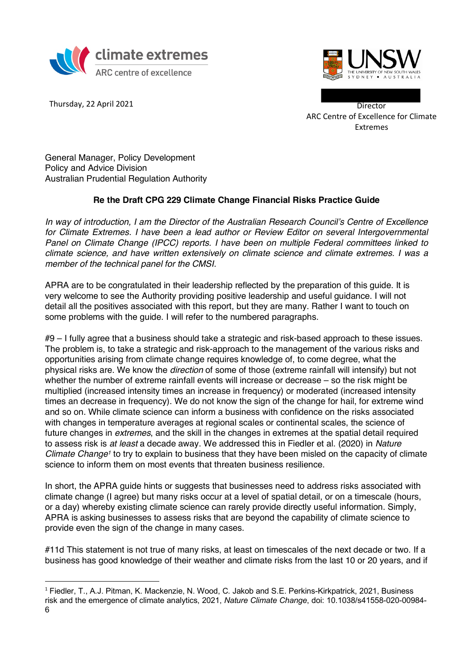



Thursday, 22 April 2021 **Director** 

ARC Centre of Excellence for Climate Extremes

General Manager, Policy Development Policy and Advice Division Australian Prudential Regulation Authority

## **Re the Draft CPG 229 Climate Change Financial Risks Practice Guide**

*In way of introduction, I am the Director of the Australian Research Council's Centre of Excellence for Climate Extremes. I have been a lead author or Review Editor on several Intergovernmental Panel on Climate Change (IPCC) reports. I have been on multiple Federal committees linked to climate science, and have written extensively on climate science and climate extremes. I was a member of the technical panel for the CMSI.*

APRA are to be congratulated in their leadership reflected by the preparation of this guide. It is very welcome to see the Authority providing positive leadership and useful guidance. I will not detail all the positives associated with this report, but they are many. Rather I want to touch on some problems with the guide. I will refer to the numbered paragraphs.

#9 – I fully agree that a business should take a strategic and risk-based approach to these issues. The problem is, to take a strategic and risk-approach to the management of the various risks and opportunities arising from climate change requires knowledge of, to come degree, what the physical risks are. We know the *direction* of some of those (extreme rainfall will intensify) but not whether the number of extreme rainfall events will increase or decrease – so the risk might be multiplied (increased intensity times an increase in frequency) or moderated (increased intensity times an decrease in frequency). We do not know the sign of the change for hail, for extreme wind and so on. While climate science can inform a business with confidence on the risks associated with changes in temperature averages at regional scales or continental scales, the science of future changes in *extremes*, and the skill in the changes in extremes at the spatial detail required to assess risk is *at least* a decade away. We addressed this in Fiedler et al. (2020) in *Nature Climate Change1* to try to explain to business that they have been misled on the capacity of climate science to inform them on most events that threaten business resilience.

In short, the APRA guide hints or suggests that businesses need to address risks associated with climate change (I agree) but many risks occur at a level of spatial detail, or on a timescale (hours, or a day) whereby existing climate science can rarely provide directly useful information. Simply, APRA is asking businesses to assess risks that are beyond the capability of climate science to provide even the sign of the change in many cases.

#11d This statement is not true of many risks, at least on timescales of the next decade or two. If a business has good knowledge of their weather and climate risks from the last 10 or 20 years, and if

 <sup>1</sup> Fiedler, T., A.J. Pitman, K. Mackenzie, N. Wood, C. Jakob and S.E. Perkins-Kirkpatrick, 2021, Business risk and the emergence of climate analytics, 2021, *Nature Climate Change*, doi: 10.1038/s41558-020-00984- 6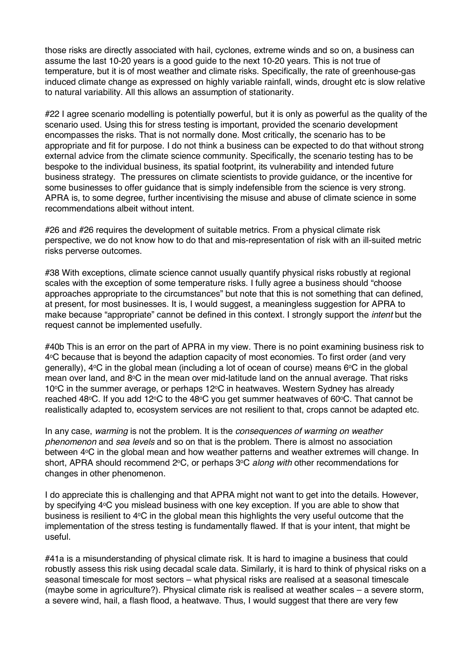those risks are directly associated with hail, cyclones, extreme winds and so on, a business can assume the last 10-20 years is a good guide to the next 10-20 years. This is not true of temperature, but it is of most weather and climate risks. Specifically, the rate of greenhouse-gas induced climate change as expressed on highly variable rainfall, winds, drought etc is slow relative to natural variability. All this allows an assumption of stationarity.

#22 I agree scenario modelling is potentially powerful, but it is only as powerful as the quality of the scenario used. Using this for stress testing is important, provided the scenario development encompasses the risks. That is not normally done. Most critically, the scenario has to be appropriate and fit for purpose. I do not think a business can be expected to do that without strong external advice from the climate science community. Specifically, the scenario testing has to be bespoke to the individual business, its spatial footprint, its vulnerability and intended future business strategy. The pressures on climate scientists to provide guidance, or the incentive for some businesses to offer guidance that is simply indefensible from the science is very strong. APRA is, to some degree, further incentivising the misuse and abuse of climate science in some recommendations albeit without intent.

#26 and #26 requires the development of suitable metrics. From a physical climate risk perspective, we do not know how to do that and mis-representation of risk with an ill-suited metric risks perverse outcomes.

#38 With exceptions, climate science cannot usually quantify physical risks robustly at regional scales with the exception of some temperature risks. I fully agree a business should "choose approaches appropriate to the circumstances" but note that this is not something that can defined, at present, for most businesses. It is, I would suggest, a meaningless suggestion for APRA to make because "appropriate" cannot be defined in this context. I strongly support the *intent* but the request cannot be implemented usefully.

#40b This is an error on the part of APRA in my view. There is no point examining business risk to 4°C because that is beyond the adaption capacity of most economies. To first order (and very generally),  $4^{\circ}$ C in the global mean (including a lot of ocean of course) means  $6^{\circ}$ C in the global mean over land, and 8°C in the mean over mid-latitude land on the annual average. That risks  $10^{\circ}$ C in the summer average, or perhaps  $12^{\circ}$ C in heatwaves. Western Sydney has already reached 48 $\degree$ C. If you add 12 $\degree$ C to the 48 $\degree$ C you get summer heatwaves of 60 $\degree$ C. That cannot be realistically adapted to, ecosystem services are not resilient to that, crops cannot be adapted etc.

In any case, *warming* is not the problem. It is the *consequences of warming on weather phenomenon* and *sea levels* and so on that is the problem. There is almost no association between 4°C in the global mean and how weather patterns and weather extremes will change. In short, APRA should recommend 2<sup>o</sup>C, or perhaps 3<sup>o</sup>C *along with* other recommendations for changes in other phenomenon.

I do appreciate this is challenging and that APRA might not want to get into the details. However, by specifying 4°C you mislead business with one key exception. If you are able to show that business is resilient to 4°C in the global mean this highlights the very useful outcome that the implementation of the stress testing is fundamentally flawed. If that is your intent, that might be useful.

#41a is a misunderstanding of physical climate risk. It is hard to imagine a business that could robustly assess this risk using decadal scale data. Similarly, it is hard to think of physical risks on a seasonal timescale for most sectors – what physical risks are realised at a seasonal timescale (maybe some in agriculture?). Physical climate risk is realised at weather scales – a severe storm, a severe wind, hail, a flash flood, a heatwave. Thus, I would suggest that there are very few